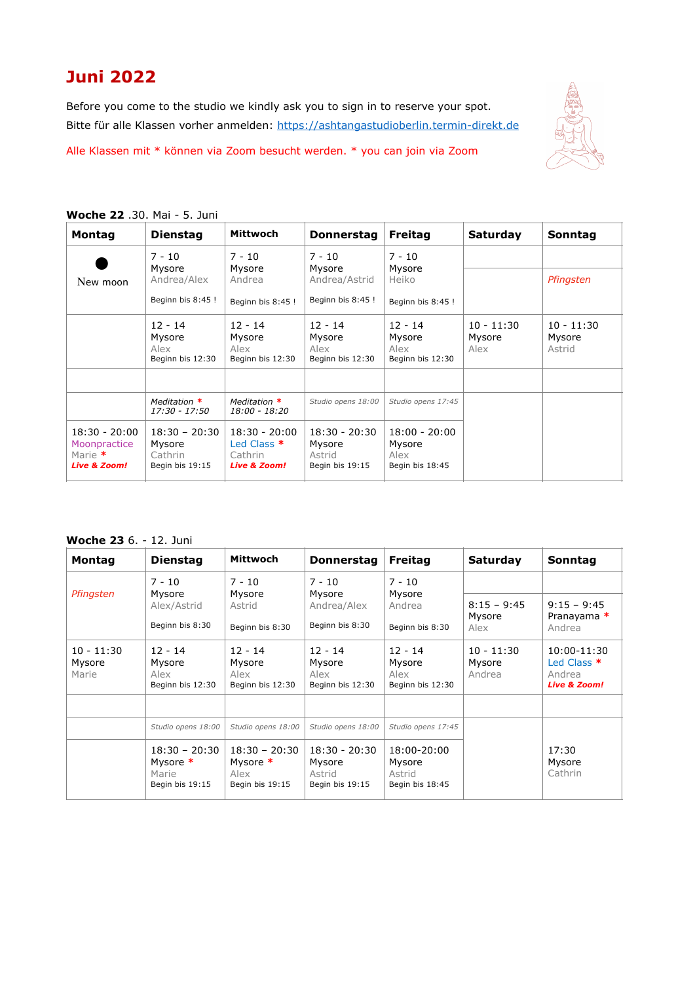## **Juni 2022**

Before you come to the studio we kindly ask you to sign in to reserve your spot. Bitte für alle Klassen vorher anmelden: <https://ashtangastudioberlin.termin-direkt.de>

Alle Klassen mit \* können via Zoom besucht werden. \* you can join via Zoom



| <b>Woche 22</b> .30. Mai - 5. Juni |  |  |  |  |  |  |
|------------------------------------|--|--|--|--|--|--|
|------------------------------------|--|--|--|--|--|--|

| <b>Montag</b>                                                | <b>Dienstag</b>                                         | Mittwoch                                                               | <b>Donnerstag</b>                                       | <b>Freitag</b>                                       | <b>Saturday</b>                | Sonntag                          |
|--------------------------------------------------------------|---------------------------------------------------------|------------------------------------------------------------------------|---------------------------------------------------------|------------------------------------------------------|--------------------------------|----------------------------------|
| New moon                                                     | $7 - 10$<br>Mysore<br>Andrea/Alex<br>Beginn bis 8:45 !  | $7 - 10$<br>Mysore<br>Andrea<br>Beginn bis 8:45 !                      | $7 - 10$<br>Mysore<br>Andrea/Astrid<br>Beginn bis 8:45! | $7 - 10$<br>Mysore<br>Heiko<br>Beginn bis 8:45 !     |                                | Pfingsten                        |
|                                                              | $12 - 14$<br>Mysore<br>Alex<br>Beginn bis 12:30         | $12 - 14$<br>Mysore<br>Alex<br>Beginn bis 12:30                        | $12 - 14$<br>Mysore<br>Alex<br>Beginn bis 12:30         | $12 - 14$<br>Mysore<br>Alex<br>Beginn bis 12:30      | $10 - 11:30$<br>Mysore<br>Alex | $10 - 11:30$<br>Mysore<br>Astrid |
|                                                              | Meditation *<br>17:30 - 17:50                           | Meditation $*$<br>18:00 - 18:20                                        | Studio opens 18:00                                      | Studio opens 17:45                                   |                                |                                  |
| $18:30 - 20:00$<br>Moonpractice<br>Marie $*$<br>Live & Zoom! | $18:30 - 20:30$<br>Mysore<br>Cathrin<br>Begin bis 19:15 | $18:30 - 20:00$<br>Led Class $*$<br>Cathrin<br><b>Live &amp; Zoom!</b> | $18:30 - 20:30$<br>Mysore<br>Astrid<br>Begin bis 19:15  | $18:00 - 20:00$<br>Mysore<br>Alex<br>Begin bis 18:45 |                                |                                  |

**Woche 23** 6. - 12. Juni

| <b>Montag</b>                   | <b>Dienstag</b>                                         | Mittwoch                                               | <b>Donnerstag</b>                                      | <b>Freitag</b>                                     | <b>Saturday</b>                  | Sonntag                                                                    |
|---------------------------------|---------------------------------------------------------|--------------------------------------------------------|--------------------------------------------------------|----------------------------------------------------|----------------------------------|----------------------------------------------------------------------------|
|                                 | $7 - 10$                                                | $7 - 10$                                               | $7 - 10$                                               | $7 - 10$                                           |                                  |                                                                            |
| Pfingsten                       | Mysore<br>Alex/Astrid                                   | Mysore<br>Astrid                                       | Mysore<br>Andrea/Alex                                  | Mysore<br>Andrea                                   | $8:15 - 9:45$<br>Mysore          | $9:15 - 9:45$                                                              |
|                                 | Beginn bis 8:30                                         | Beginn bis 8:30                                        | Beginn bis 8:30                                        | Beginn bis 8:30                                    | Alex                             | Pranayama *<br>Andrea                                                      |
| $10 - 11:30$<br>Mysore<br>Marie | $12 - 14$<br>Mysore<br>Alex<br>Beginn bis 12:30         | $12 - 14$<br>Mysore<br>Alex<br>Beginn bis 12:30        | $12 - 14$<br>Mysore<br>Alex<br>Beginn bis 12:30        | $12 - 14$<br>Mysore<br>Alex<br>Beginn bis 12:30    | $10 - 11:30$<br>Mysore<br>Andrea | 10:00-11:30<br>Led Class <sup>*</sup><br>Andrea<br><b>Live &amp; Zoom!</b> |
|                                 |                                                         |                                                        |                                                        |                                                    |                                  |                                                                            |
|                                 | Studio opens 18:00                                      | Studio opens 18:00                                     | Studio opens 18:00                                     | Studio opens 17:45                                 |                                  |                                                                            |
|                                 | $18:30 - 20:30$<br>Mysore *<br>Marie<br>Begin bis 19:15 | $18:30 - 20:30$<br>Mysore *<br>Alex<br>Begin bis 19:15 | $18:30 - 20:30$<br>Mysore<br>Astrid<br>Begin bis 19:15 | 18:00-20:00<br>Mysore<br>Astrid<br>Begin bis 18:45 |                                  | 17:30<br>Mysore<br>Cathrin                                                 |